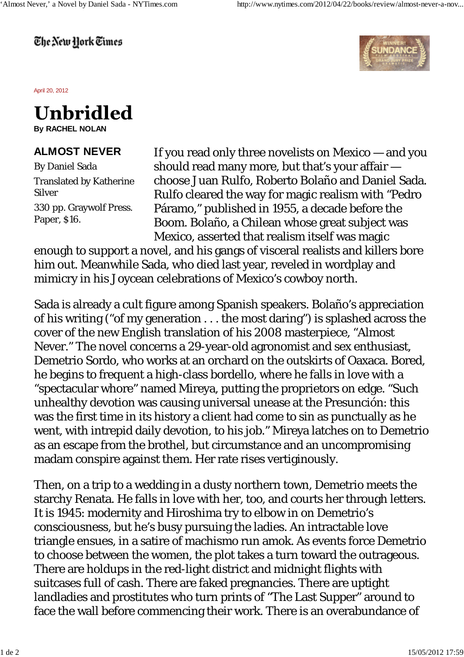The New Hork Times



April 20, 2012

## **Unbridled By RACHEL NOLAN**

## **ALMOST NEVER**

By Daniel Sada Translated by Katherine Silver 330 pp. Graywolf Press. Paper, \$16.

If you read only three novelists on Mexico — and you should read many more, but that's your affair choose Juan Rulfo, Roberto Bolaño and Daniel Sada. Rulfo cleared the way for magic realism with "Pedro Páramo," published in 1955, a decade before the Boom. Bolaño, a Chilean whose great subject was Mexico, asserted that realism itself was magic

enough to support a novel, and his gangs of visceral realists and killers bore him out. Meanwhile Sada, who died last year, reveled in wordplay and mimicry in his Joycean celebrations of Mexico's cowboy north.

Sada is already a cult figure among Spanish speakers. Bolaño's appreciation of his writing ("of my generation . . . the most daring") is splashed across the cover of the new English translation of his 2008 masterpiece, "Almost Never." The novel concerns a 29-year-old agronomist and sex enthusiast, Demetrio Sordo, who works at an orchard on the outskirts of Oaxaca. Bored, he begins to frequent a high-class bordello, where he falls in love with a "spectacular whore" named Mireya, putting the proprietors on edge. "Such unhealthy devotion was causing universal unease at the Presunción: this was the first time in its history a client had come to sin as punctually as he went, with intrepid daily devotion, to his job." Mireya latches on to Demetrio as an escape from the brothel, but circumstance and an uncompromising madam conspire against them. Her rate rises vertiginously.

Then, on a trip to a wedding in a dusty northern town, Demetrio meets the starchy Renata. He falls in love with her, too, and courts her through letters. It is 1945: modernity and Hiroshima try to elbow in on Demetrio's consciousness, but he's busy pursuing the ladies. An intractable love triangle ensues, in a satire of machismo run amok. As events force Demetrio to choose between the women, the plot takes a turn toward the outrageous. There are holdups in the red-light district and midnight flights with suitcases full of cash. There are faked pregnancies. There are uptight landladies and prostitutes who turn prints of "The Last Supper" around to face the wall before commencing their work. There is an overabundance of